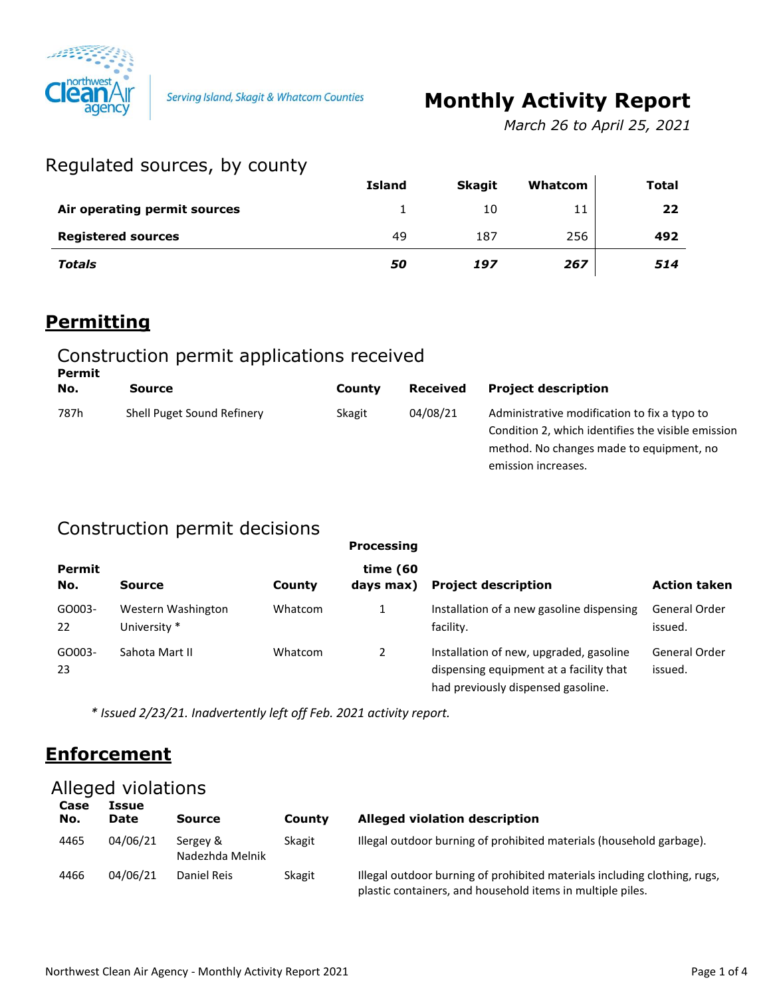

Serving Island, Skagit & Whatcom Counties

# **Monthly Activity Report**

*March 26 to April 25, 2021*

# Regulated sources, by county

|                              | <b>Island</b> | <b>Skagit</b> | Whatcom | <b>Total</b> |
|------------------------------|---------------|---------------|---------|--------------|
| Air operating permit sources |               | 10            | 11      | 22           |
| <b>Registered sources</b>    | 49            | 187           | 256     | 492          |
| <b>Totals</b>                | 50            | 197           | 267     | 514          |

### **Permitting**

#### Construction permit applications received **Permit**

| No.  | <b>Source</b>              | County | <b>Received</b> | <b>Project description</b>                                                                                                                                            |
|------|----------------------------|--------|-----------------|-----------------------------------------------------------------------------------------------------------------------------------------------------------------------|
| 787h | Shell Puget Sound Refinery | Skagit | 04/08/21        | Administrative modification to fix a typo to<br>Condition 2, which identifies the visible emission<br>method. No changes made to equipment, no<br>emission increases. |

# Construction permit decisions

| Permit<br>No. | Source                             | County  | time (60<br>days max) | <b>Project description</b>                                                                                               | <b>Action taken</b>      |
|---------------|------------------------------------|---------|-----------------------|--------------------------------------------------------------------------------------------------------------------------|--------------------------|
| GO003-<br>22  | Western Washington<br>University * | Whatcom |                       | Installation of a new gasoline dispensing<br>facility.                                                                   | General Order<br>issued. |
| GO003-<br>23  | Sahota Mart II                     | Whatcom |                       | Installation of new, upgraded, gasoline<br>dispensing equipment at a facility that<br>had previously dispensed gasoline. | General Order<br>issued. |

*\* Issued 2/23/21. Inadvertently left off Feb. 2021 activity report.*

# **Enforcement**

### Alleged violations

| Case<br>No. | Issue<br>Date | <b>Source</b>               | County | <b>Alleged violation description</b>                                                                                                    |
|-------------|---------------|-----------------------------|--------|-----------------------------------------------------------------------------------------------------------------------------------------|
| 4465        | 04/06/21      | Sergey &<br>Nadezhda Melnik | Skagit | Illegal outdoor burning of prohibited materials (household garbage).                                                                    |
| 4466        | 04/06/21      | Daniel Reis                 | Skagit | Illegal outdoor burning of prohibited materials including clothing, rugs,<br>plastic containers, and household items in multiple piles. |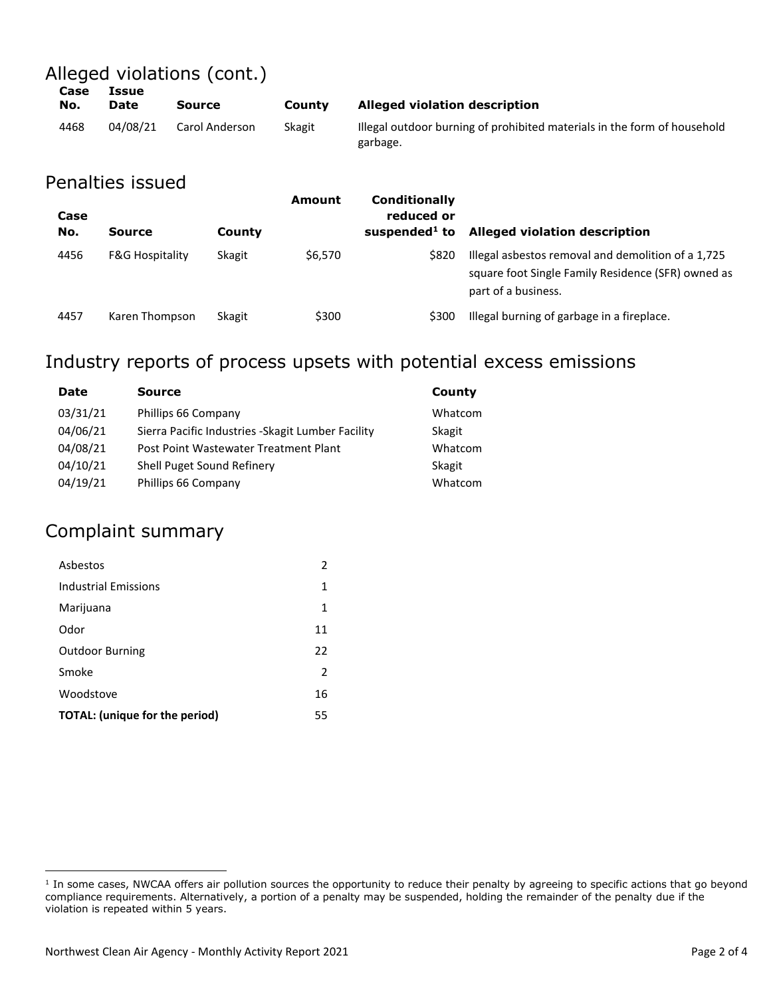Alleged violations (cont.)

| <b>NLA</b> | <b>Data</b> | <b>CALLAR</b> |  |
|------------|-------------|---------------|--|
|            | Case Issue  |               |  |
|            |             |               |  |

| No.  | <b>Date</b> | Source         | County | Alleged violation description                                                        |
|------|-------------|----------------|--------|--------------------------------------------------------------------------------------|
| 4468 | 04/08/21    | Carol Anderson | Skagit | Illegal outdoor burning of prohibited materials in the form of household<br>garbage. |

#### Penalties issued

| Case<br>No. | Source                     | County | Amount  | Conditionally<br>reduced or<br>suspended $1$ to | <b>Alleged violation description</b>                                                                                            |
|-------------|----------------------------|--------|---------|-------------------------------------------------|---------------------------------------------------------------------------------------------------------------------------------|
| 4456        | <b>F&amp;G Hospitality</b> | Skagit | \$6,570 | \$820                                           | Illegal asbestos removal and demolition of a 1,725<br>square foot Single Family Residence (SFR) owned as<br>part of a business. |
| 4457        | Karen Thompson             | Skagit | \$300   | \$300                                           | Illegal burning of garbage in a fireplace.                                                                                      |

# Industry reports of process upsets with potential excess emissions

| Source                                             | County  |
|----------------------------------------------------|---------|
| Phillips 66 Company                                | Whatcom |
| Sierra Pacific Industries - Skagit Lumber Facility | Skagit  |
| Post Point Wastewater Treatment Plant              | Whatcom |
| Shell Puget Sound Refinery                         | Skagit  |
| Phillips 66 Company                                | Whatcom |
|                                                    |         |

### Complaint summary

 $\overline{a}$ 

| Asbestos                              | 2             |
|---------------------------------------|---------------|
| <b>Industrial Emissions</b>           | 1             |
| Marijuana                             | 1             |
| Odor                                  | 11            |
| <b>Outdoor Burning</b>                | 22            |
| Smoke                                 | $\mathcal{P}$ |
| Woodstove                             | 16            |
| <b>TOTAL:</b> (unique for the period) | 55            |

<sup>&</sup>lt;sup>1</sup> In some cases, NWCAA offers air pollution sources the opportunity to reduce their penalty by agreeing to specific actions that go beyond compliance requirements. Alternatively, a portion of a penalty may be suspended, holding the remainder of the penalty due if the violation is repeated within 5 years.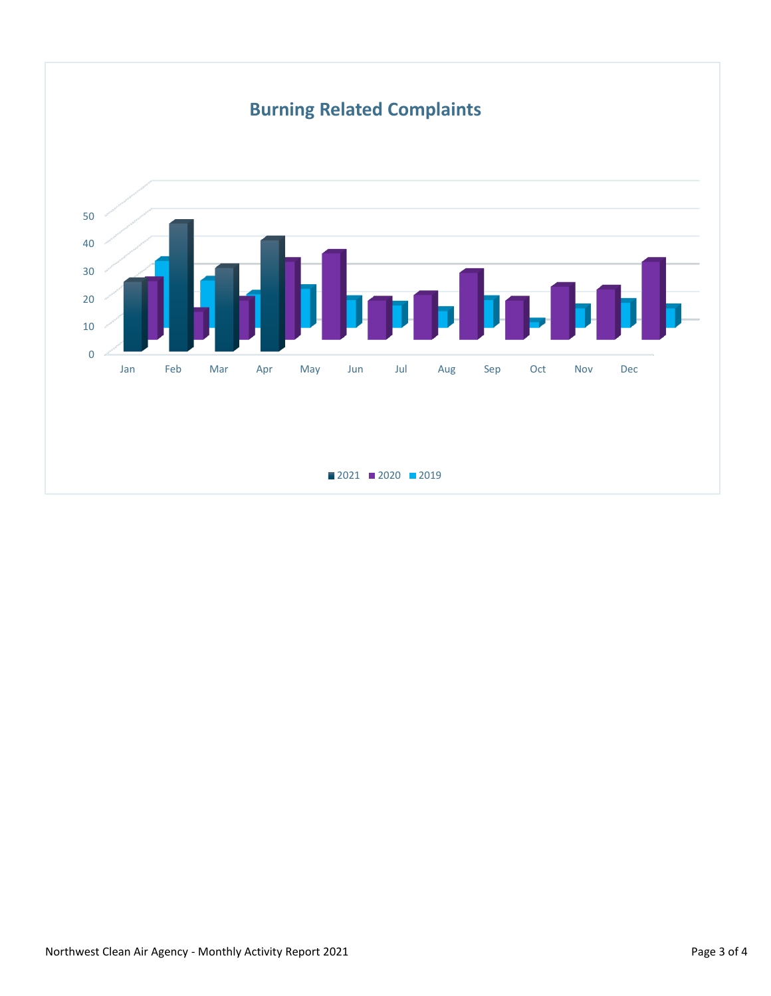